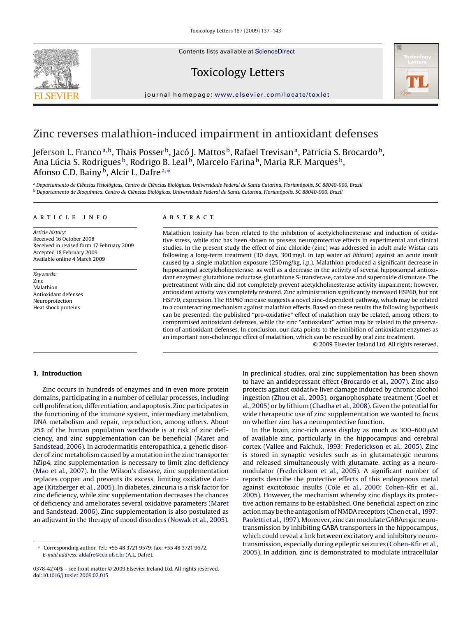Contents lists available at [ScienceDirect](http://www.sciencedirect.com/science/journal/03784274)



# Toxicology Letters



journal homepage: [www.elsevier.com/locate/toxlet](http://www.elsevier.com/locate/toxlet)

# Zinc reverses malathion-induced impairment in antioxidant defenses

Jeferson L. Franco<sup>a,b</sup>, Thais Posser<sup>b</sup>, Jacó J. Mattos <sup>b</sup>, Rafael Trevisan<sup>a</sup>, Patricia S. Brocardo <sup>b</sup>, Ana Lúcia S. Rodrigues<sup>b</sup>, Rodrigo B. Leal<sup>b</sup>, Marcelo Farina<sup>b</sup>, Maria R.F. Marques<sup>b</sup>, Afonso C.D. Bainy<sup>b</sup>, Alcir L. Dafre<sup>a,\*</sup>

<sup>a</sup> *Departamento de Ciências Fisiológicas, Centro de Ciências Biológicas, Universidade Federal de Santa Catarina, Florianópolis, SC 88040-900, Brazil* <sup>b</sup> *Departamento de Bioquímica, Centro de Ciências Biológicas, Universidade Federal de Santa Catarina, Florianópolis, SC 88040-900, Brazil*

### article info

*Article history:* Received 16 October 2008 Received in revised form 17 February 2009 Accepted 18 February 2009 Available online 4 March 2009

*Keywords:* Zinc Malathion Antioxidant defenses Neuroprotection Heat shock proteins

# ABSTRACT

Malathion toxicity has been related to the inhibition of acetylcholinesterase and induction of oxidative stress, while zinc has been shown to possess neuroprotective effects in experimental and clinical studies. In the present study the effect of zinc chloride (zinc) was addressed in adult male Wistar rats following a long-term treatment (30 days, 300 mg/L in tap water *ad libitum*) against an acute insult caused by a single malathion exposure (250 mg/kg, i.p.). Malathion produced a significant decrease in hippocampal acetylcholinesterase, as well as a decrease in the activity of several hippocampal antioxidant enzymes: glutathione reductase, glutathione S-transferase, catalase and superoxide dismutase. The pretreatment with zinc did not completely prevent acetylcholinesterase activity impairment; however, antioxidant activity was completely restored. Zinc administration significantly increased HSP60, but not HSP70, expression. The HSP60 increase suggests a novel zinc-dependent pathway, which may be related to a counteracting mechanism against malathion effects. Based on these results the following hypothesis can be presented: the published "pro-oxidative" effect of malathion may be related, among others, to compromised antioxidant defenses, while the zinc "antioxidant" action may be related to the preservation of antioxidant defenses. In conclusion, our data points to the inhibition of antioxidant enzymes as an important non-cholinergic effect of malathion, which can be rescued by oral zinc treatment.

© 2009 Elsevier Ireland Ltd. All rights reserved.

# **1. Introduction**

Zinc occurs in hundreds of enzymes and in even more protein domains, participating in a number of cellular processes, including cell proliferation, differentiation, and apoptosis. Zinc participates in the functioning of the immune system, intermediary metabolism, DNA metabolism and repair, reproduction, among others. About 25% of the human population worldwide is at risk of zinc deficiency, and zinc supplementation can be beneficial [\(Maret and](#page-6-0) [Sandstead, 2006\).](#page-6-0) In acrodermatitis enteropathica, a genetic disorder of zinc metabolism caused by a mutation in the zinc transporter hZip4, zinc supplementation is necessary to limit zinc deficiency ([Mao et al., 2007\).](#page-6-0) In the Wilson's disease, zinc supplementation replaces copper and prevents its excess, limiting oxidative damage ([Kitzberger et al., 2005\).](#page-5-0) In diabetes, zincuria is a risk factor for zinc deficiency, while zinc supplementation decreases the chances of deficiency and ameliorates several oxidative parameters ([Maret](#page-6-0) [and Sandstead, 2006\).](#page-6-0) Zinc supplementation is also postulated as an adjuvant in the therapy of mood disorders [\(Nowak et al., 2005\).](#page-6-0)

In preclinical studies, oral zinc supplementation has been shown to have an antidepressant effect ([Brocardo et al., 2007\).](#page-5-0) Zinc also protects against oxidative liver damage induced by chronic alcohol ingestion ([Zhou et al., 2005\),](#page-6-0) organophosphate treatment ([Goel et](#page-5-0) [al., 2005\) o](#page-5-0)r by lithium [\(Chadha et al., 2008\).](#page-5-0) Given the potential for wide therapeutic use of zinc supplementation we wanted to focus on whether zinc has a neuroprotective function.

In the brain, zinc-rich areas display as much as  $300-600 \,\mu\text{M}$ of available zinc, particularly in the hippocampus and cerebral cortex [\(Vallee and Falchuk, 1993; Frederickson et al., 2005\).](#page-6-0) Zinc is stored in synaptic vesicles such as in glutamatergic neurons and released simultaneously with glutamate, acting as a neuromodulator ([Frederickson et al., 2005\).](#page-5-0) A significant number of reports describe the protective effects of this endogenous metal against excitotoxic insults ([Cole et al., 2000; Cohen-Kfir et al.,](#page-5-0) [2005\).](#page-5-0) However, the mechanism whereby zinc displays its protective action remains to be established. One beneficial aspect on zinc action may be the antagonism of NMDA receptors ([Chen et al., 1997;](#page-5-0) [Paoletti et al., 1997\).](#page-5-0) Moreover, zinc can modulate GABAergic neurotransmission by inhibiting GABA transporters in the hippocampus, which could reveal a link between excitatory and inhibitory neurotransmission, especially during epileptic seizures [\(Cohen-Kfir et al.,](#page-5-0) [2005\).](#page-5-0) In addition, zinc is demonstrated to modulate intracellular

<sup>∗</sup> Corresponding author. Tel.: +55 48 3721 9579; fax: +55 48 3721 9672. *E-mail address:* [aldafre@ccb.ufsc.br](mailto:aldafre@ccb.ufsc.br) (A.L. Dafre).

<sup>0378-4274/\$ –</sup> see front matter © 2009 Elsevier Ireland Ltd. All rights reserved. doi:[10.1016/j.toxlet.2009.02.015](dx.doi.org/10.1016/j.toxlet.2009.02.015)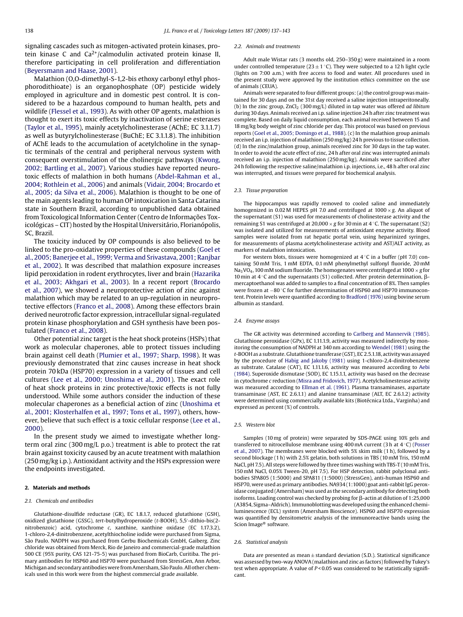<span id="page-1-0"></span>signaling cascades such as mitogen-activated protein kinases, protein kinase C and  $Ca^{2+}/ca$ lmodulin activated protein kinase II, therefore participating in cell proliferation and differentiation ([Beyersmann and Haase, 2001\).](#page-5-0)

Malathion (O,O-dimethyl-S-1,2-bis ethoxy carbonyl ethyl phosphorodithioate) is an organophosphate (OP) pesticide widely employed in agriculture and in domestic pest control. It is considered to be a hazardous compound to human health, pets and wildlife [\(Flessel et al., 1993\).](#page-5-0) As with other OP agents, malathion is thought to exert its toxic effects by inactivation of serine esterases ([Taylor et al., 1995\),](#page-6-0) mainly acetylcholinesterase (AChE; EC 3.1.1.7) as well as butyrylcholinesterase (BuChE; EC 3.1.1.8). The inhibition of AChE leads to the accumulation of acetylcholine in the synaptic terminals of the central and peripheral nervous system with consequent overstimulation of the cholinergic pathways ([Kwong,](#page-5-0) [2002; Bartling et al., 2007\).](#page-5-0) Various studies have reported neurotoxic effects of malathion in both humans [\(Abdel-Rahman et al.,](#page-5-0) [2004; Rothlein et al., 2006\)](#page-5-0) and animals ([Vidair, 2004; Brocardo et](#page-6-0) [al., 2005; da Silva et al., 2006\).](#page-6-0) Malathion is thought to be one of the main agents leading to human OP intoxication in Santa Catarina state in Southern Brazil, according to unpublished data obtained from Toxicological Information Center (Centro de Informações Toxicológicas – CIT) hosted by the Hospital Universitário, Florianópolis, SC, Brazil.

The toxicity induced by OP compounds is also believed to be linked to the pro-oxidative properties of these compounds ([Goel et](#page-5-0) [al., 2005; Banerjee et al., 1999; Verma and Srivastava, 2001; Ranjbar](#page-5-0) [et al., 2002\).](#page-5-0) It was described that malathion exposure increases lipid peroxidation in rodent erythrocytes, liver and brain ([Hazarika](#page-5-0) [et al., 2003; Akhgari et al., 2003\).](#page-5-0) In a recent report [\(Brocardo](#page-5-0) [et al., 2007\),](#page-5-0) we showed a neuroprotective action of zinc against malathion which may be related to an up-regulation in neuroprotective effectors [\(Franco et al., 2008\).](#page-5-0) Among these effectors brain derived neurotrofic factor expression, intracellular signal-regulated protein kinase phosphorylation and GSH synthesis have been postulated [\(Franco et al., 2008\).](#page-5-0)

Other potential zinc target is the heat shock proteins (HSPs) that work as molecular chaperones, able to protect tissues including brain against cell death ([Plumier et al., 1997; Sharp, 1998\).](#page-6-0) It was previously demonstrated that zinc causes increase in heat shock protein 70 kDa (HSP70) expression in a variety of tissues and cell cultures ([Lee et al., 2000; Unoshima et al., 2001\).](#page-6-0) The exact role of heat shock proteins in zinc protective/toxic effects is not fully understood. While some authors consider the induction of these molecular chaperones as a beneficial action of zinc ([Unoshima et](#page-6-0) [al., 2001; Klosterhalfen et al., 1997; Tons et al., 1997\),](#page-6-0) others, however, believe that such effect is a toxic cellular response [\(Lee et al.,](#page-6-0) [2000\).](#page-6-0)

In the present study we aimed to investigate whether longterm oral zinc (300 mg/L p.o.) treatment is able to protect the rat brain against toxicity caused by an acute treatment with malathion (250 mg/kg i.p.). Antioxidant activity and the HSPs expression were the endpoints investigated.

# **2. Materials and methods**

#### *2.1. Chemicals and antibodies*

Glutathione-disulfide reductase (GR), EC 1.8.1.7, reduced glutathione (GSH), oxidized glutathione (GSSG), *tert*-butylhydroperoxide (*t*-BOOH), 5,5 -dithio-bis(2 nitrobenzoic) acid, cytochrome *c*, xanthine, xanthine oxidase (EC 1.17.3.2), 1-chloro-2,4-dinitrobenzene, acetylthiocholine iodide were purchased from Sigma, São Paulo. NADPH was purchased from Gerbu Biochemicals GmbH, Gaiberg. Zinc chloride was obtained from Merck, Rio de Janeiro and commercial-grade malathion 500 CE (95% purity, CAS 121-75-5) was purchased from BioCarb, Curitiba. The primary antibodies for HSP60 and HSP70 were purchased from StressGen, Ann Arbor, Michigan and secondary antibodies were from Amersham, São Paulo. All other chemicals used in this work were from the highest commercial grade available.

#### *2.2. Animals and treatments*

Adult male Wistar rats (3 months old, 250–350 g) were maintained in a room under controlled temperature (23  $\pm$  1 °C). They were subjected to a 12 h light cycle (lights on 7:00 a.m.) with free access to food and water. All procedures used in the present study were approved by the institution ethics committee on the use of animals (CEUA).

Animals were separated to four different groups: (a) the control group was maintained for 30 days and on the 31st day received a saline injection intraperitoneally. (b) In the zinc group, ZnCl<sub>2</sub> (300 mg/L) diluted in tap water was offered *ad libitum* during 30 days. Animals received an i.p. saline injection 24 h after zinc treatment was complete. Based on daily liquid consumption, each animal received between 15 and 18 mg/kg body weight of zinc chloride per day. This protocol was based on previous reports [\(Goel et al., 2005; Domingo et al., 1988\).](#page-5-0) (c) In the malathion group animals received an i.p. injection of malathion (250 mg/kg) 24 h previous to tissue collection. (d) In the zinc/malathion group, animals received zinc for 30 days in the tap water. In order to avoid the acute effect of zinc, 24 h after oral zinc was interrupted animals received an i.p. injection of malathion (250 mg/kg). Animals were sacrificed after 24 h following the respective saline/malathion i.p. injections, i.e., 48 h after oral zinc was interrupted, and tissues were prepared for biochemical analysis.

#### *2.3. Tissue preparation*

The hippocampus was rapidly removed to cooled saline and immediately homogenized in 0.02 M HEPES pH 7.0 and centrifuged at 1000 × *g*. An aliquot of the supernatant (S1) was used for measurements of cholinesterase activity and the remaining S1 was centrifuged at 20,000 × *g* for 30 min at 4 ◦C. The supernatant (S2) was isolated and utilized for measurements of antioxidant enzyme activity. Blood samples were isolated from rat hepatic portal vein, using heparinized syringes, for measurements of plasma acetylcholinesterase activity and AST/ALT activity, as markers of malathion intoxication.

For western blots, tissues were homogenized at 4 ◦C in a buffer (pH 7.0) containing 50 mM Tris, 1 mM EDTA, 0.1 mM phenylmethyl sulfonyl fluoride, 20 mM Na<sub>3</sub>VO<sub>4</sub>, 100 mM sodium fluoride. The homogenates were centrifuged at 1000  $\times$  g for 10 min at 4 °C and the supernatants (S1) collected. After protein determination, βmercaptoethanol was added to samples to a final concentration of 8%. Then samples were frozen at −80 °C for further determination of HSP60 and HSP70 immunocontent. Protein levels were quantified according to [Bradford \(1976\)](#page-5-0) using bovine serum albumin as standard.

#### *2.4. Enzyme assays*

The GR activity was determined according to [Carlberg and Mannervik \(1985\).](#page-5-0) Glutathione peroxidase (GPx), EC 1.11.1.9, activity was measured indirectly by monitoring the consumption of NADPH at 340 nm according to [Wendel \(1981\)](#page-6-0) using the *t*-BOOH as a substrate. Glutathione transferase (GST), EC 2.5.1.18, activity was assayed by the procedure of [Habig and Jakoby \(1981\)](#page-5-0) using 1-chloro-2,4-dinitrobenzene as substrate. Catalase (CAT), EC 1.11.1.6, activity was measured according to [Aebi](#page-5-0) [\(1984\). S](#page-5-0)uperoxide dismutase (SOD), EC 1.15.1.1, activity was based on the decrease in cytochrome *c* reduction ([Misra and Fridovich, 1977\).](#page-6-0) Acetylcholinesterase activity was measured according to [Ellman et al. \(1961\). P](#page-5-0)lasma transaminases, aspartate transaminase (AST, EC 2.6.1.1) and alanine transaminase (ALT, EC 2.6.1.2) activity were determined using commercially available kits (Biotécnica Ltda., Varginha) and expressed as percent (%) of controls.

## *2.5. Western blot*

Samples (10 mg of protein) were separated by SDS-PAGE using 10% gels and transferred to nitrocellulose membrane using 400 mA current (3 h at 4 ◦C) [\(Posser](#page-6-0) [et al., 2007\).](#page-6-0) The membranes were blocked with 5% skim milk (1 h), followed by a second blockage (1 h) with 2.5% gelatin, both solutions in TBS (10 mM Tris, 150 mM NaCl, pH 7.5). All steps were followed by three times washing with TBS-T (10 mM Tris, 150 mM NaCl, 0.05% Tween-20, pH 7.5). For HSP detection, rabbit polyclonal antibodies SPA805 (1:5000) and SPA811 (1:5000) (StressGen), anti-human HSP60 and HSP70, were used as primary antibodies. NA934 (1:1000) goat anti-rabbit IgG peroxidase conjugated (Amersham) was used as the secondary antibody for detecting both isoforms. Loading control was checked by probing for  $\beta$ -actin at dilution of 1:25,000 (A3854, Sigma–Aldrich). Immunoblotting was developed using the enhanced chemiluminescence (ECL) system (Amersham Bioscience). HSP60 and HSP70 expression was quantified by densitometric analysis of the immunoreactive bands using the Scion Image® software.

#### *2.6. Statistical analysis*

Data are presented as mean  $\pm$  standard deviation (S.D.). Statistical significance was assessed by two-way ANOVA (malathion and zinc as factors) followed by Tukey's test when appropriate. A value of  $P < 0.05$  was considered to be statistically significant.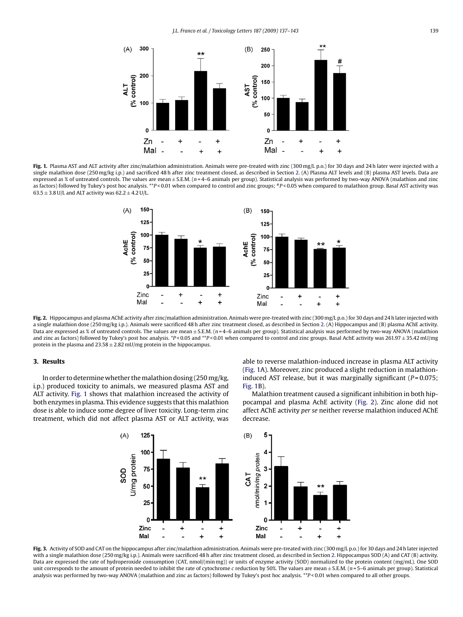<span id="page-2-0"></span>

Fig. 1. Plasma AST and ALT activity after zinc/malathion administration. Animals were pre-treated with zinc (300 mg/L p.o.) for 30 days and 24 h later were injected with a single malathion dose (250 mg/kg i.p.) and sacrificed 48 h after zinc treatment closed, as described in Section [2. \(](#page-1-0)A) Plasma ALT levels and (B) plasma AST levels. Data are expressed as % of untreated controls. The values are mean ± S.E.M. (*n* = 4–6 animals per group). Statistical analysis was performed by two-way ANOVA (malathion and zinc as factors) followed by Tukey's post hoc analysis. \*\**P* < 0.01 when compared to control and zinc groups; \**P* < 0.05 when compared to malathion group. Basal AST activity was  $63.5 \pm 3.8$  U/L and ALT activity was  $62.2 \pm 4.2$  U/L.



Fig. 2. Hippocampus and plasma AChE activity after zinc/malathion administration. Animals were pre-treated with zinc (300 mg/L p.o.) for 30 days and 24 h later injected with a single malathion dose (250 mg/kg i.p.). Animals were sacrificed 48 h after zinc treatment closed, as described in Section [2. \(](#page-1-0)A) Hippocampus and (B) plasma AChE activity. Data are expressed as % of untreated controls. The values are mean ± S.E.M. (*n* = 4–6 animals per group). Statistical analysis was performed by two-way ANOVA (malathion and zinc as factors) followed by Tukey's post hoc analysis. \**P* < 0.05 and \*\**P* < 0.01 when compared to control and zinc groups. Basal AchE activity was 261.97 ± 35.42 mU/mg protein in the plasma and  $23.58 \pm 2.82$  mU/mg protein in the hippocampus.

# **3. Results**

In order to determine whether themalathion dosing (250 mg/kg, i.p.) produced toxicity to animals, we measured plasma AST and ALT activity. Fig. 1 shows that malathion increased the activity of both enzymes in plasma. This evidence suggests that this malathion dose is able to induce some degree of liver toxicity. Long-term zinc treatment, which did not affect plasma AST or ALT activity, was

able to reverse malathion-induced increase in plasma ALT activity (Fig. 1A). Moreover, zinc produced a slight reduction in malathioninduced AST release, but it was marginally significant ( $P = 0.075$ ; Fig. 1B).

Malathion treatment caused a significant inhibition in both hippocampal and plasma AchE activity (Fig. 2). Zinc alone did not affect AChE activity *per se* neither reverse malathion induced AChE decrease.



Fig. 3. Activity of SOD and CAT on the hippocampus after zinc/malathion administration. Animals were pre-treated with zinc (300 mg/L p.o.) for 30 days and 24 h later injected with a single malathion dose (250 mg/kg i.p.). Animals were sacrificed 48 h after zinc treatment closed, as described in Section [2. H](#page-1-0)ippocampus SOD (A) and CAT (B) activity. Data are expressed the rate of hydroperoxide consumption (CAT, nmol/(min mg)) or units of enzyme activity (SOD) normalized to the protein content (mg/mL). One SOD unit corresponds to the amount of protein needed to inhibit the rate of cytochrome *c* reduction by 50%. The values are mean ± S.E.M. (*n* = 5–6 animals per group). Statistical analysis was performed by two-way ANOVA (malathion and zinc as factors) followed by Tukey's post hoc analysis. \*\**P* < 0.01 when compared to all other groups.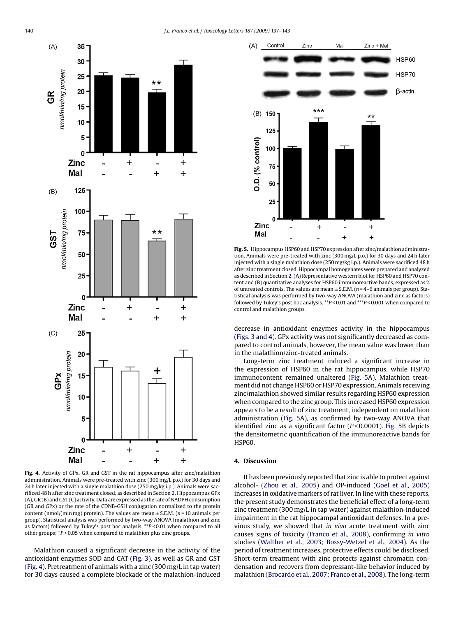

**Fig. 4.** Activity of GPx, GR and GST in the rat hippocampus after zinc/malathion administration. Animals were pre-treated with zinc (300 mg/L p.o.) for 30 days and 24 h later injected with a single malathion dose (250 mg/kg i.p.). Animals were sacrificed 48 h after zinc treatment closed, as described in Section [2. H](#page-1-0)ippocampus GPx (A), GR (B) and GST (C) activity. Data are expressed as the rate of NADPH consumption (GR and GPx) or the rate of the CDNB-GSH conjugation normalized to the protein content (nmol/(min mg) protein). The values are mean  $\pm$  S.E.M. ( $n = 10$  animals per group). Statistical analysis was performed by two-way ANOVA (malathion and zinc as factors) followed by Tukey's post hoc analysis. \*\**P* < 0.01 when compared to all other groups; <sup>+</sup>*P* < 0.05 when compared to malathion plus zinc groups.

Malathion caused a significant decrease in the activity of the antioxidant enzymes SOD and CAT ([Fig. 3\),](#page-2-0) as well as GR and GST (Fig. 4). Pretreatment of animals with a zinc (300 mg/L in tap water) for 30 days caused a complete blockade of the malathion-induced



**Fig. 5.** Hippocampus HSP60 and HSP70 expression after zinc/malathion administration. Animals were pre-treated with zinc (300 mg/L p.o.) for 30 days and 24 h later injected with a single malathion dose (250 mg/kg i.p.). Animals were sacrificed 48 h after zinc treatment closed. Hippocampal homogenates were prepared and analyzed as described in Section [2. \(](#page-1-0)A) Representative western blot for HSP60 and HSP70 content and (B) quantitative analyses for HSP60 immunoreactive bands, expressed as % of untreated controls. The values are mean  $\pm$  S.E.M. ( $n = 4-6$  animals per group). Statistical analysis was performed by two-way ANOVA (malathion and zinc as factors) followed by Tukey's post hoc analysis. \*\**P* < 0.01 and \*\*\**P* < 0.001 when compared to control and malathion groups.

decrease in antioxidant enzymes activity in the hippocampus [\(Figs. 3 and 4\).](#page-2-0) GPx activity was not significantly decreased as compared to control animals, however, the mean value was lower than in the malathion/zinc-treated animals.

Long-term zinc treatment induced a significant increase in the expression of HSP60 in the rat hippocampus, while HSP70 immunocontent remained unaltered (Fig. 5A). Malathion treatment did not change HSP60 or HSP70 expression. Animals receiving zinc/malathion showed similar results regarding HSP60 expression when compared to the zinc group. This increased HSP60 expression appears to be a result of zinc treatment, independent on malathion administration (Fig. 5A), as confirmed by two-way ANOVA that identified zinc as a significant factor (*P* < 0.0001). Fig. 5B depicts the densitometric quantification of the immunoreactive bands for HSP60.

# **4. Discussion**

It has been previously reported that zinc is able to protect against alcohol- [\(Zhou et al., 2005\)](#page-6-0) and OP-induced ([Goel et al., 2005\)](#page-5-0) increases in oxidative markers of rat liver. In line with these reports, the present study demonstrates the beneficial effect of a long-term zinc treatment (300 mg/L in tap water) against malathion-induced impairment in the rat hippocampal antioxidant defenses. In a previous study, we showed that *in vivo* acute treatment with zinc causes signs of toxicity [\(Franco et al., 2008\),](#page-5-0) confirming *in vitro* studies [\(Walther et al., 2003; Bossy-Wetzel et al., 2004\).](#page-6-0) As the period of treatment increases, protective effects could be disclosed. Short-term treatment with zinc protects against chromatin condensation and recovers from depressant-like behavior induced by malathion [\(Brocardo et al., 2007; Franco et al., 2008\).](#page-5-0) The long-term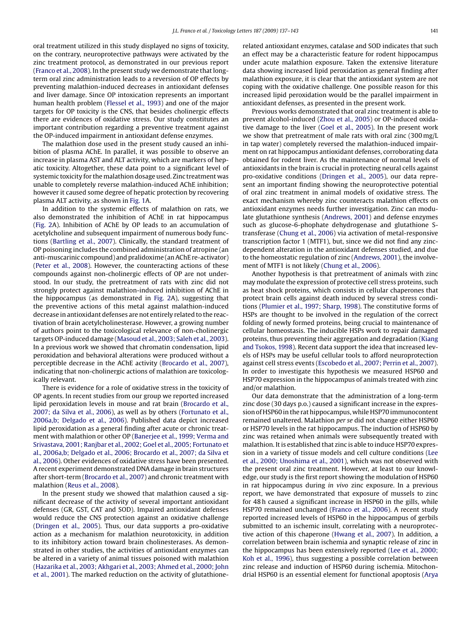oral treatment utilized in this study displayed no signs of toxicity, on the contrary, neuroprotective pathways were activated by the zinc treatment protocol, as demonstrated in our previous report ([Franco et al., 2008\).](#page-5-0) In the present study we demonstrate that longterm oral zinc administration leads to a reversion of OP effects by preventing malathion-induced decreases in antioxidant defenses and liver damage. Since OP intoxication represents an important human health problem [\(Flessel et al., 1993\)](#page-5-0) and one of the major targets for OP toxicity is the CNS, that besides cholinergic effects there are evidences of oxidative stress. Our study constitutes an important contribution regarding a preventive treatment against the OP-induced impairment in antioxidant defense enzymes.

The malathion dose used in the present study caused an inhibition of plasma AChE. In parallel, it was possible to observe an increase in plasma AST and ALT activity, which are markers of hepatic toxicity. Altogether, these data point to a significant level of systemic toxicity for the malathion dosage used. Zinc treatment was unable to completely reverse malathion-induced AChE inhibition; however it caused some degree of hepatic protection by recovering plasma ALT activity, as shown in [Fig. 1A](#page-2-0).

In addition to the systemic effects of malathion on rats, we also demonstrated the inhibition of AChE in rat hippocampus ([Fig. 2A](#page-2-0)). Inhibition of AChE by OP leads to an accumulation of acetylcholine and subsequent impairment of numerous body functions ([Bartling et al., 2007\).](#page-5-0) Clinically, the standard treatment of OP poisoning includes the combined administration of atropine (an anti-muscarinic compound) and pralidoxime (an AChE re-activator) ([Peter et al., 2008\).](#page-6-0) However, the counteracting actions of these compounds against non-cholinergic effects of OP are not understood. In our study, the pretreatment of rats with zinc did not strongly protect against malathion-induced inhibition of AChE in the hippocampus (as demonstrated in [Fig. 2A](#page-2-0)), suggesting that the preventive actions of this metal against malathion-induced decrease in antioxidant defenses are not entirely related to the reactivation of brain acetylcholinesterase. However, a growing number of authors point to the toxicological relevance of non-cholinergic targets OP-induced damage ([Masoud et al., 2003; Saleh et al., 2003\).](#page-6-0) In a previous work we showed that chromatin condensation, lipid peroxidation and behavioral alterations were produced without a perceptible decrease in the AChE activity ([Brocardo et al., 2007\),](#page-5-0) indicating that non-cholinergic actions of malathion are toxicologically relevant.

There is evidence for a role of oxidative stress in the toxicity of OP agents. In recent studies from our group we reported increased lipid peroxidation levels in mouse and rat brain ([Brocardo et al.,](#page-5-0) [2007; da Silva et al., 2006\),](#page-5-0) as well as by others [\(Fortunato et al.,](#page-5-0) [2006a,b; Delgado et al., 2006\).](#page-5-0) Published data depict increased lipid peroxidation as a general finding after acute or chronic treatment with malathion or other OP ([Banerjee et al., 1999; Verma and](#page-5-0) [Srivastava, 2001; Ranjbar et al., 2002; Goel et al., 2005; Fortunato et](#page-5-0) [al., 2006a,b; Delgado et al., 2006; Brocardo et al., 2007; da Silva et](#page-5-0) [al., 2006\).](#page-5-0) Other evidences of oxidative stress have been presented. A recent experiment demonstrated DNA damage in brain structures after short-term ([Brocardo et al., 2007\) a](#page-5-0)nd chronic treatment with malathion ([Reus et al., 2008\).](#page-6-0)

In the present study we showed that malathion caused a significant decrease of the activity of several important antioxidant defenses (GR, GST, CAT and SOD). Impaired antioxidant defenses would reduce the CNS protection against an oxidative challenge ([Dringen et al., 2005\).](#page-5-0) Thus, our data supports a pro-oxidative action as a mechanism for malathion neurotoxicity, in addition to its inhibitory action toward brain cholinesterases. As demonstrated in other studies, the activities of antioxidant enzymes can be altered in a variety of animal tissues poisoned with malathion ([Hazarika et al., 2003; Akhgari et al., 2003; Ahmed et al., 2000; John](#page-5-0) [et al., 2001\).](#page-5-0) The marked reduction on the activity of glutathionerelated antioxidant enzymes, catalase and SOD indicates that such an effect may be a characteristic feature for rodent hippocampus under acute malathion exposure. Taken the extensive literature data showing increased lipid peroxidation as general finding after malathion exposure, it is clear that the antioxidant system are not coping with the oxidative challenge. One possible reason for this increased lipid peroxidation would be the parallel impairment in antioxidant defenses, as presented in the present work.

Previous works demonstrated that oral zinc treatment is able to prevent alcohol-induced ([Zhou et al., 2005\)](#page-6-0) or OP-induced oxidative damage to the liver ([Goel et al., 2005\).](#page-5-0) In the present work we show that pretreatment of male rats with oral zinc (300 mg/L in tap water) completely reversed the malathion-induced impairment on rat hippocampus antioxidant defenses, corroborating data obtained for rodent liver. As the maintenance of normal levels of antioxidants in the brain is crucial in protecting neural cells against pro-oxidative conditions [\(Dringen et al., 2005\),](#page-5-0) our data represent an important finding showing the neuroprotective potential of oral zinc treatment in animal models of oxidative stress. The exact mechanism whereby zinc counteracts malathion effects on antioxidant enzymes needs further investigation. Zinc can modulate glutathione synthesis [\(Andrews, 2001\)](#page-5-0) and defense enzymes such as glucose-6-phophate dehydrogenase and glutathione Stransferase ([Chung et al., 2006\)](#page-5-0) via activation of metal-responsive transcription factor 1 (MTF1), but, since we did not find any zincdependent alteration in the antioxidant defenses studied, and due to the homeostatic regulation of zinc [\(Andrews, 2001\),](#page-5-0) the involvement of MTF1 is not likely [\(Chung et al., 2006\).](#page-5-0)

Another hypothesis is that pretreatment of animals with zinc may modulate the expression of protective cell stress proteins, such as heat shock proteins, which consists in cellular chaperones that protect brain cells against death induced by several stress conditions ([Plumier et al., 1997; Sharp, 1998\).](#page-6-0) The constitutive forms of HSPs are thought to be involved in the regulation of the correct folding of newly formed proteins, being crucial to maintenance of cellular homeostasis. The inducible HSPs work to repair damaged proteins, thus preventing their aggregation and degradation [\(Kiang](#page-5-0) [and Tsokos, 1998\).](#page-5-0) Recent data support the idea that increased levels of HSPs may be useful cellular tools to afford neuroprotection against cell stress events [\(Escobedo et al., 2007; Perrin et al., 2007\).](#page-5-0) In order to investigate this hypothesis we measured HSP60 and HSP70 expression in the hippocampus of animals treated with zinc and/or malathion.

Our data demonstrate that the administration of a long-term zinc dose (30 days p.o.) caused a significant increase in the expression of HSP60 in the rat hippocampus, while HSP70 immunocontent remained unaltered. Malathion *per se* did not change either HSP60 or HSP70 levels in the rat hippocampus. The induction of HSP60 by zinc was retained when animals were subsequently treated with malathion. It is established that zinc is able to induce HSP70 expression in a variety of tissue models and cell culture conditions ([Lee](#page-6-0) [et al., 2000; Unoshima et al., 2001\),](#page-6-0) which was not observed with the present oral zinc treatment. However, at least to our knowledge, our study is the first report showing the modulation of HSP60 in rat hippocampus during *in vivo* zinc exposure. In a previous report, we have demonstrated that exposure of mussels to zinc for 48 h caused a significant increase in HSP60 in the gills, while HSP70 remained unchanged [\(Franco et al., 2006\).](#page-5-0) A recent study reported increased levels of HSP60 in the hippocampus of gerbils submitted to an ischemic insult, correlating with a neuroprotective action of this chaperone [\(Hwang et al., 2007\).](#page-5-0) In addition, a correlation between brain ischemia and synaptic release of zinc in the hippocampus has been extensively reported ([Lee et al., 2000;](#page-6-0) [Koh et al., 1996\),](#page-6-0) thus suggesting a possible correlation between zinc release and induction of HSP60 during ischemia. Mitochondrial HSP60 is an essential element for functional apoptosis [\(Arya](#page-5-0)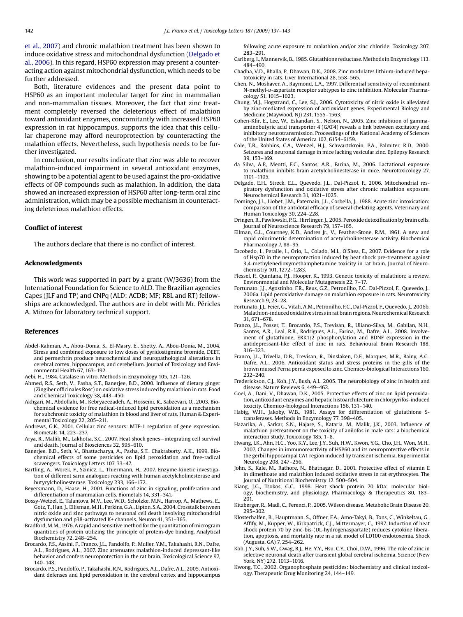<span id="page-5-0"></span>et al., 2007) and chronic malathion treatment has been shown to induce oxidative stress and mitochondrial dysfunction (Delgado et al., 2006). In this regard, HSP60 expression may present a counteracting action against mitochondrial dysfunction, which needs to be further addressed.

Both, literature evidences and the present data point to HSP60 as an important molecular target for zinc in mammalian and non-mammalian tissues. Moreover, the fact that zinc treatment completely reversed the deleterious effect of malathion toward antioxidant enzymes, concomitantly with increased HSP60 expression in rat hippocampus, supports the idea that this cellular chaperone may afford neuroprotection by counteracting the malathion effects. Nevertheless, such hypothesis needs to be further investigated.

In conclusion, our results indicate that zinc was able to recover malathion-induced impairment in several antioxidant enzymes, showing to be a potential agent to be used against the pro-oxidative effects of OP compounds such as malathion. In addition, the data showed an increased expression of HSP60 after long-term oral zinc administration, which may be a possible mechanism in counteracting deleterious malathion effects.

## **Conflict of interest**

The authors declare that there is no conflict of interest.

## **Acknowledgments**

This work was supported in part by a grant (W/3636) from the International Foundation for Science to ALD. The Brazilian agencies Capes (JLF and TP) and CNPq (ALD; ACDB; MF; RBL and RT) fellowships are acknowledged. The authors are in debt with Mr. Péricles A. Mitozo for laboratory technical support.

## **References**

- Abdel-Rahman, A., Abou-Donia, S., El-Masry, E., Shetty, A., Abou-Donia, M., 2004. Stress and combined exposure to low doses of pyridostigmine bromide, DEET, and permethrin produce neurochemical and neuropathological alterations in cerebral cortex, hippocampus, and cerebellum. Journal of Toxicology and Environmental Health 67, 163–192.
- Aebi, H., 1984. Catalase in vitro. Methods in Enzymology 105, 121–126.
- Ahmed, R.S., Seth, V., Pasha, S.T., Banerjee, B.D., 2000. Influence of dietary ginger (Zingiber officinales Rosc) on oxidative stress induced by malathion in rats. Food and Chemical Toxicology 38, 443–450.
- Akhgari, M., Abdollahi, M., Kebryaeezadeh, A., Hosseini, R., Sabzevari, O., 2003. Biochemical evidence for free radical-induced lipid peroxidation as a mechanism for subchronic toxicity of malathion in blood and liver of rats. Human & Experimental Toxicology 22, 205–211.
- Andrews, G.K., 2001. Cellular zinc sensors: MTF-1 regulation of gene expression. Biometals 14, 223–237.
- Arya, R., Mallik, M., Lakhotia, S.C., 2007. Heat shock genes—integrating cell survival and death. Journal of Biosciences 32, 595–610.
- Banerjee, B.D., Seth, V., Bhattacharya, A., Pasha, S.T., Chakraborty, A.K., 1999. Biochemical effects of some pesticides on lipid peroxidation and free-radical scavengers. Toxicology Letters 107, 33–47.
- Bartling, A., Worek, F., Szinicz, L., Thiermann, H., 2007. Enzyme-kinetic investigation of different sarin analogues reacting with human acetylcholinesterase and butyrylcholinesterase. Toxicology 233, 166–172.
- Beyersmann, D., Haase, H., 2001. Functions of zinc in signaling, proliferation and differentiation of mammalian cells. Biometals 14, 331–341.
- Bossy-Wetzel, E., Talantova, M.V., Lee, W.D., Scholzke, M.N., Harrop, A., Mathews, E., Gotz, T., Han, J., Ellisman,M.H., Perkins, G.A., Lipton, S.A., 2004. Crosstalk between nitric oxide and zinc pathways to neuronal cell death involving mitochondrial dysfunction and p38-activated K+ channels. Neuron 41, 351–365.
- Bradford,M.M., 1976. A rapid and sensitive method for the quantitation of microgram quantities of protein utilizing the principle of protein-dye binding. Analytical Biochemistry 72, 248–254.
- Brocardo, P.S., Assini, F., Franco, J.L., Pandolfo, P., Muller, Y.M., Takahashi, R.N., Dafre, A.L., Rodrigues, A.L., 2007. Zinc attenuates malathion-induced depressant-like behavior and confers neuroprotection in the rat brain. Toxicological Science 97, 140–148.
- Brocardo, P.S., Pandolfo, P., Takahashi, R.N., Rodrigues, A.L., Dafre, A.L., 2005. Antioxidant defenses and lipid peroxidation in the cerebral cortex and hippocampus

following acute exposure to malathion and/or zinc chloride. Toxicology 207, 283–291.

- Carlberg, I., Mannervik, B., 1985. Glutathione reductase. Methods in Enzymology 113, 484–490.
- Chadha, V.D., Bhalla, P., Dhawan, D.K., 2008. Zinc modulates lithium-induced hepatotoxicity in rats. Liver International 28, 558–565.
- Chen, N., Moshaver, A., Raymond, L.A., 1997. Differential sensitivity of recombinant N-methyl-D-aspartate receptor subtypes to zinc inhibition. Molecular Pharmacology 51, 1015–1023.
- Chung, M.J., Hogstrand, C., Lee, S.J., 2006. Cytotoxicity of nitric oxide is alleviated by zinc-mediated expression of antioxidant genes. Experimental Biology and Medicine (Maywood, NJ) 231, 1555–1563.
- Cohen-Kfir, E., Lee, W., Eskandari, S., Nelson, N., 2005. Zinc inhibition of gammaaminobutyric acid transporter 4 (GAT4) reveals a link between excitatory and inhibitory neurotransmission. Proceedings of the National Academy of Sciences of the United States of America 102, 6154–6159.
- Cole, T.B., Robbins, C.A., Wenzel, H.J., Schwartzkroin, P.A., Palmiter, R.D., 2000. Seizures and neuronal damage in mice lacking vesicular zinc. Epilepsy Research 39, 153–169.
- Silva, A.P., Meotti, F.C., Santos, A.R., Farina, M., 2006. Lactational exposure to malathion inhibits brain acetylcholinesterase in mice. Neurotoxicology 27, 1101–1105.
- Delgado, E.H., Streck, E.L., Quevedo, J.L., Dal-Pizzol, F., 2006. Mitochondrial respiratory dysfunction and oxidative stress after chronic malathion exposure. Neurochemical Research 31, 1021–1025.
- Domingo, J.L., Llobet, J.M., Paternain, J.L., Corbella, J., 1988. Acute zinc intoxication: comparison of the antidotal efficacy of several chelating agents. Veterinary and Human Toxicology 30, 224–228.
- Dringen, R., Pawlowski, P.G., Hirrlinger, J., 2005. Peroxide detoxification by brain cells. Journal of Neuroscience Research 79, 157–165.
- Ellman, G.L., Courtney, K.D., Andres Jr., V., Feather-Stone, R.M., 1961. A new and rapid colorimetric determination of acetylcholinesterase activity. Biochemical Pharmacology 7, 88–95.
- Escobedo, I., Peraile, I., Orio, L., Colado, M.I., O'Shea, E., 2007. Evidence for a role of Hsp70 in the neuroprotection induced by heat shock pre-treatment against 3,4-methylenedioxymethamphetamine toxicity in rat brain. Journal of Neurochemistry 101, 1272–1283.
- Flessel, P., Quintana, P.J., Hooper, K., 1993. Genetic toxicity of malathion: a review. Environmental and Molecular Mutagenesis 22, 7–17.
- Fortunato, J.J., Agostinho, F.R., Reus, G.Z., Petronilho, F.C., Dal-Pizzol, F., Quevedo, J., 2006a. Lipid peroxidative damage on malathion exposure in rats. Neurotoxicity Research 9, 23–28.
- Fortunato, J.J., Feier, G., Vitali, A.M., Petronilho, F.C., Dal-Pizzol, F., Quevedo, J., 2006b. Malathion-induced oxidative stress in rat brain regions. Neurochemical Research 31, 671–678.
- Franco, J.L., Posser, T., Brocardo, P.S., Trevisan, R., Uliano-Silva, M., Gabilan, N.H., Santos, A.R., Leal, R.B., Rodrigues, A.L., Farina, M., Dafre, A.L., 2008. Involvement of glutathione, ERK1/2 phosphorylation and BDNF expression in the antidepressant-like effect of zinc in rats. Behavioural Brain Research 188, 316–323.
- Franco, J.L., Trivella, D.B., Trevisan, R., Dinslaken, D.F., Marques, M.R., Bainy, A.C., Dafre, A.L., 2006. Antioxidant status and stress proteins in the gills of the brown mussel Perna perna exposed to zinc. Chemico-biological Interactions 160, 232–240.
- Frederickson, C.J., Koh, J.Y., Bush, A.I., 2005. The neurobiology of zinc in health and disease. Nature Reviews 6, 449–462.
- Goel, A., Dani, V., Dhawan, D.K., 2005. Protective effects of zinc on lipid peroxidation, antioxidant enzymes and hepatic histoarchitecture in chlorpyrifos-induced toxicity. Chemico-biological Interactions 156, 131–140.
- Habig, W.H., Jakoby, W.B., 1981. Assays for differentiation of glutathione Stransferases. Methods in Enzymology 77, 398–405.
- Hazarika, A., Sarkar, S.N., Hajare, S., Kataria, M., Malik, J.K., 2003. Influence of malathion pretreatment on the toxicity of anilofos in male rats: a biochemical interaction study. Toxicology 185, 1–8.
- Hwang, I.K., Ahn, H.C., Yoo, K.Y., Lee, J.Y., Suh, H.W., Kwon, Y.G., Cho, J.H., Won, M.H., 2007. Changes in immunoreactivity of HSP60 and its neuroprotective effects in the gerbil hippocampal CA1 region induced by transient ischemia. Experimental Neurology 208, 247–256.
- John, S., Kale, M., Rathore, N., Bhatnagar, D., 2001. Protective effect of vitamin E in dimethoate and malathion induced oxidative stress in rat erythrocytes. The Journal of Nutritional Biochemistry 12, 500–504.
- Kiang, J.G., Tsokos, G.C., 1998. Heat shock protein 70 kDa: molecular biology, biochemistry, and physiology. Pharmacology & Therapeutics 80, 183– 201.
- Kitzberger, R., Madl, C., Ferenci, P., 2005. Wilson disease. Metabolic Brain Disease 20, 295–302.
- Klosterhalfen, B., Hauptmann, S., Offner, F.A., Amo-Takyi, B., Tons, C., Winkeltau, G., Affify, M., Kupper, W., Kirkpatrick, C.J., Mittermayer, C., 1997. Induction of heat shock protein 70 by zinc-bis-(DL-hydrogenaspartate) reduces cytokine liberation, apoptosis, and mortality rate in a rat model of LD100 endotoxemia. Shock (Augusta, GA) 7, 254–262.
- Koh, J.Y., Suh, S.W., Gwag, B.J., He, Y.Y., Hsu, C.Y., Choi, D.W., 1996. The role of zinc in selective neuronal death after transient global cerebral ischemia. Science (New York, NY) 272, 1013–1016.
- Kwong, T.C., 2002. Organophosphate pesticides: biochemistry and clinical toxicology. Therapeutic Drug Monitoring 24, 144–149.